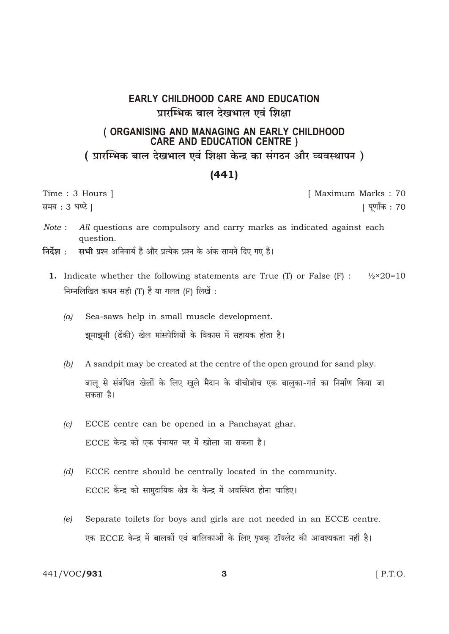## **EARLY CHILDHOOD CARE AND EDUCATION** प्रारम्भिक बाल देखभाल एवं शिक्षा

## (ORGANISING AND MANAGING AN EARLY CHILDHOOD **CARE AND EDUCATION CENTRE )** ( प्रारम्भिक बाल देखभाल एवं शिक्षा केन्द्र का संगठन और व्यवस्थापन )

## $(441)$

Time: 3 Hours | समय: 3 घण्टे ।

[ Maximum Marks: 70 [ पूर्णांक : 70

- Note: All questions are compulsory and carry marks as indicated against each question.
- निर्देश : सभी प्रश्न अनिवार्य हैं और प्रत्येक प्रश्न के अंक सामने दिए गए हैं।
	- **1.** Indicate whether the following statements are True (T) or False (F) :  $\frac{1}{2} \times 20 = 10$ निम्नलिखित कथन सही (T) हैं या गलत (F) लिखें :
		- $(a)$ Sea-saws help in small muscle development. झुमाझुमी (ढेंकी) खेल मांसपेशियों के विकास में सहायक होता है।
		- $(b)$ A sandpit may be created at the centre of the open ground for sand play. बालू से संबंधित खेलों के लिए खुले मैदान के बीचोबीच एक बालुका-गर्त का निर्माण किया जा सकता है।
		- ECCE centre can be opened in a Panchayat ghar.  $(c)$ ECCE केन्द्र को एक पंचायत घर में खोला जा सकता है।
		- $(d)$ ECCE centre should be centrally located in the community. ECCE केन्द्र को सामुदायिक क्षेत्र के केन्द्र में अवस्थित होना चाहिए।
		- Separate toilets for boys and girls are not needed in an ECCE centre.  $(e)$ एक ECCE केन्द्र में बालकों एवं बालिकाओं के लिए पृथक् टॉयलेट की आवश्यकता नहीं है।

3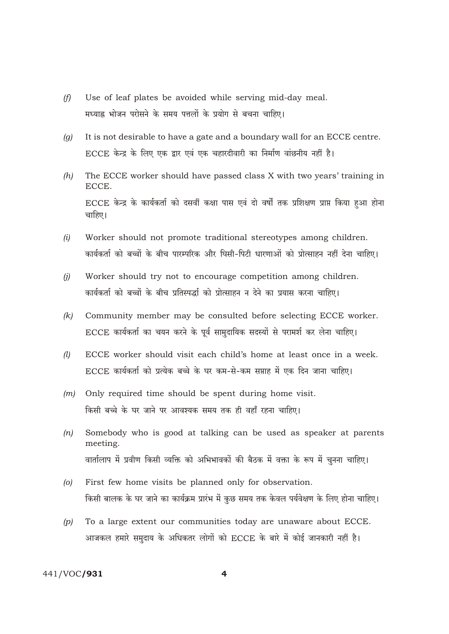- Use of leaf plates be avoided while serving mid-day meal.  $(f)$ मध्याह्र भोजन परोसने के समय पत्तलों के प्रयोग से बचना चाहिए।
- It is not desirable to have a gate and a boundary wall for an ECCE centre.  $(a)$ ECCE केन्द्र के लिए एक द्वार एवं एक चहारदीवारी का निर्माण वांछनीय नहीं है।
- $(h)$ The ECCE worker should have passed class X with two years' training in ECCE. ECCE केन्द्र के कार्यकर्ता को दसवीं कक्षा पास एवं दो वर्षों तक प्रशिक्षण प्राप्त किया हुआ होना चाहिए।
- Worker should not promote traditional stereotypes among children.  $(i)$ कार्यकर्ता को बच्चों के बीच पारम्परिक और घिसी-पिटी धारणाओं को प्रोत्साहन नहीं देना चाहिए।
- $(i)$ Worker should try not to encourage competition among children. कार्यकर्ता को बच्चों के बीच प्रतिस्पर्द्धा को प्रोत्साहन न देने का प्रयास करना चाहिए।
- Community member may be consulted before selecting ECCE worker.  $(k)$ ECCE कार्यकर्ता का चयन करने के पूर्व सामुदायिक सदस्यों से परामर्श कर लेना चाहिए।
- ECCE worker should visit each child's home at least once in a week.  $(l)$ ECCE कार्यकर्ता को प्रत्येक बच्चे के घर कम-से-कम सप्ताह में एक दिन जाना चाहिए।
- Only required time should be spent during home visit.  $(m)$ किसी बच्चे के घर जाने पर आवश्यक समय तक ही वहाँ रहना चाहिए।
- Somebody who is good at talking can be used as speaker at parents  $(n)$ meeting. वार्तालाप में प्रवीण किसी व्यक्ति को अभिभावकों की बैठक में वक्ता के रूप में चुनना चाहिए।
- First few home visits be planned only for observation.  $\omega$ किसी बालक के घर जाने का कार्यक्रम प्रारंभ में कुछ समय तक केवल पर्यवेक्षण के लिए होना चाहिए।
- To a large extent our communities today are unaware about ECCE.  $(p)$ आजकल हमारे समुदाय के अधिकतर लोगों को ECCE के बारे में कोई जानकारी नहीं है।

## 441/VOC/931

 $\overline{\mathbf{A}}$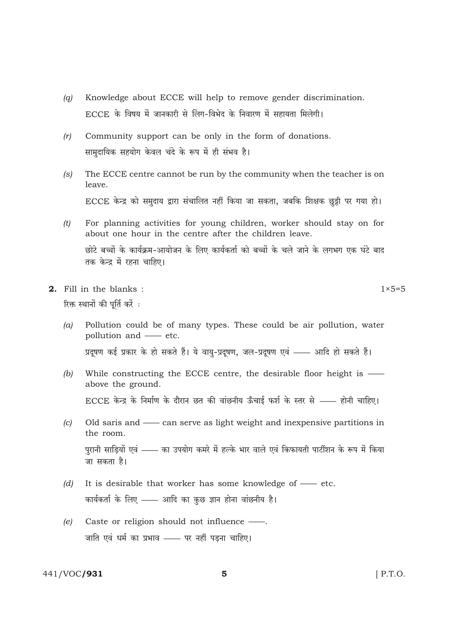- Knowledge about ECCE will help to remove gender discrimination.  $(a)$ ECCE के विषय में जानकारी से लिंग-विभेद के निवारण में सहायता मिलेगी।
- Community support can be only in the form of donations.  $(r)$ सामदायिक सहयोग केवल चंदे के रूप में ही संभव है।
- The ECCE centre cannot be run by the community when the teacher is on  $(s)$ leave. ECCE केन्द्र को समुदाय द्वारा संचालित नहीं किया जा सकता, जबकि शिक्षक छुट्टी पर गया हो।
- For planning activities for young children, worker should stay on for  $(t)$ about one hour in the centre after the children leave. छोटे बच्चों के कार्यक्रम-आयोजन के लिए कार्यकर्ता को बच्चों के चले जाने के लगभग एक घंटे बाद तक केन्द्र में रहना चाहिए।
- 2. Fill in the blanks: रिक्त स्थानों की पूर्ति करें :
	- $(a)$ Pollution could be of many types. These could be air pollution, water pollution and — etc. प्रदूषण कई प्रकार के हो सकते हैं। ये वायु-प्रदूषण, जल-प्रदूषण एवं —— आदि हो सकते हैं।
	- $(b)$ While constructing the ECCE centre, the desirable floor height is above the ground. ECCE केन्द्र के निर्माण के दौरान छत की वांछनीय ऊँचाई फर्श के स्तर से —— होनी चाहिए।
	- Old saris and can serve as light weight and inexpensive partitions in  $(c)$ the room. पुरानी साड़ियों एवं —— का उपयोग कमरे में हल्के भार वाले एवं किफायती पार्टीशन के रूप में किया जा सकता है।
	- It is desirable that worker has some knowledge of etc.  $(d)$ कार्यकर्ता के लिए - आदि का कुछ ज्ञान होना वांछनीय है।
	- $(e)$ Caste or religion should not influence -जाति एवं धर्म का प्रभाव - पर नहीं पड़ना चाहिए।

441/VOC/931

 $1 \times 5 = 5$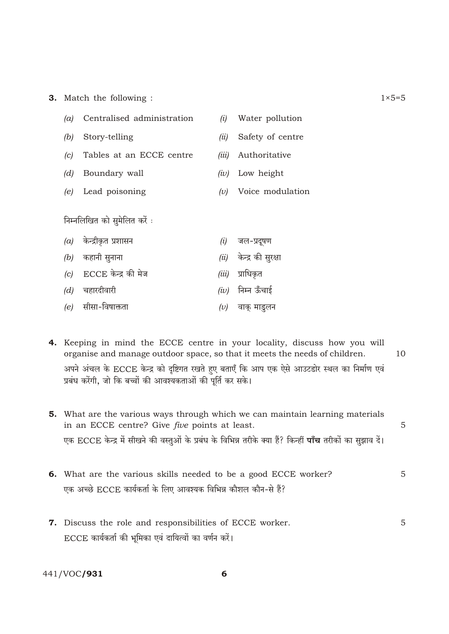**3.** Match the following :

| (a)                          | Centralised administration | (i)     | Water pollution           |  |
|------------------------------|----------------------------|---------|---------------------------|--|
| (b)                          | Story-telling              | (ii)    | Safety of centre          |  |
| (c)                          | Tables at an ECCE centre   | (iii)   | Authoritative             |  |
| (d)                          | Boundary wall              | (iv)    | Low height                |  |
| (e)                          | Lead poisoning             | (v)     | Voice modulation          |  |
| निम्नलिखित को सुमेलित करें : |                            |         |                           |  |
|                              | $(a)$ केन्द्रीकृत प्रशासन  |         | $(i)$ जल-प्रदूषण          |  |
|                              | $(b)$ कहानी सुनाना         |         | $(ii)$ केन्द्र की सुरक्षा |  |
|                              | $(c)$ ECCE केन्द्र की मेज  | (iii)   | प्राधिकृत                 |  |
|                              | $(d)$ चहारदीवारी           |         | $(iv)$ निम्न ऊँचाई        |  |
|                              | $(e)$ सीसा-विषाक्तता       | $(\nu)$ | वाक् माडुलन               |  |

- 4. Keeping in mind the ECCE centre in your locality, discuss how you will organise and manage outdoor space, so that it meets the needs of children.  $10$ अपने अंचल के ECCE केन्द्र को दृष्टिगत रखते हुए बताएँ कि आप एक ऐसे आउटडोर स्थल का निर्माण एवं प्रबंध करेंगी, जो कि बच्चों की आवश्यकताओं की पूर्ति कर सके।
- 5. What are the various ways through which we can maintain learning materials in an ECCE centre? Give *five* points at least. 5 एक ECCE केन्द्र में सीखने की वस्तुओं के प्रबंध के विभिन्न तरीके क्या हैं? किन्हीं **पाँच** तरीकों का सुझाव दें।
- 6. What are the various skills needed to be a good ECCE worker? 5 एक अच्छे ECCE कार्यकर्ता के लिए आवश्यक विभिन्न कौशल कौन-से हैं?
- 7. Discuss the role and responsibilities of ECCE worker. 5 ECCE कार्यकर्ता की भूमिका एवं दायित्वों का वर्णन करें।

441/VOC/931